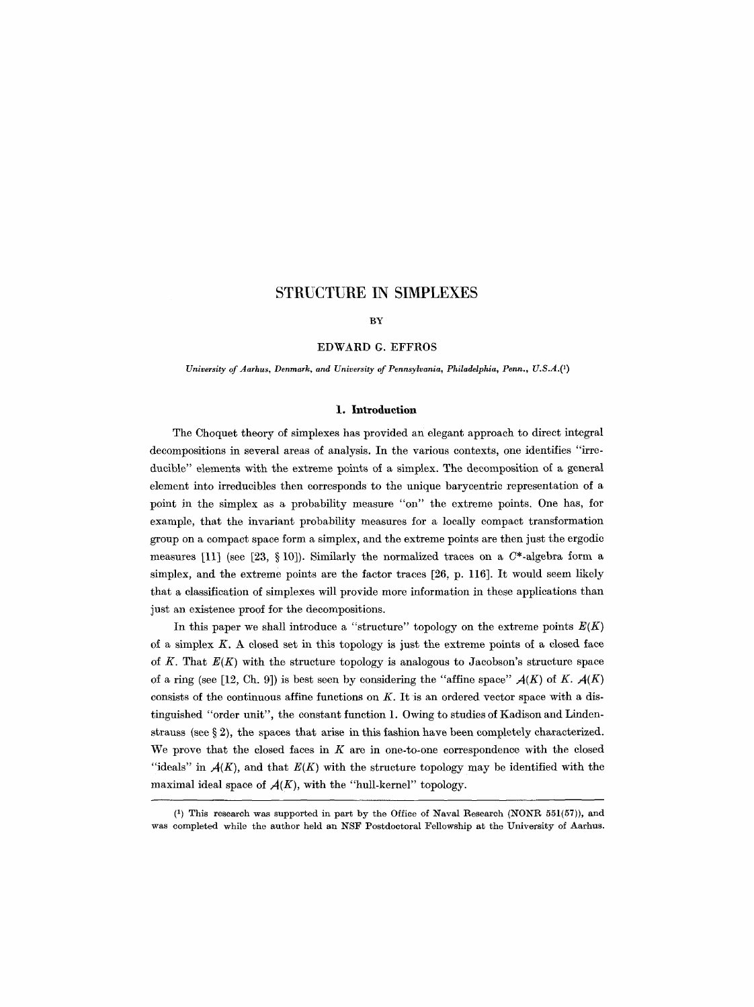#### **BY**

## EDWARD G. EFFROS

*University of Aarhus, Denmark, and University of Pennsylvania, Philadelphia, Penn., U.S.A.Q)* 

## 1. **Introduction**

The Choquet theory of simplexes has provided an elegant approach to direct integral decompositions in several areas of analysis. In the various contexts, one identifies "irreducible" elements with the extreme points of a simplex. The decomposition of a general element into irreducibles then corresponds to the unique barycentric representation of a point in the simplex as a probability measure "on" the extreme points. One has, for example, that the invariant probability measures for a locally compact transformation group on a compact space form a simplex, and the extreme points are then just the ergodie measures [11] (see [23, § 10]). Similarly the normalized traces on a  $C^*$ -algebra form a simplex, and the extreme points are the factor traces [26, p. 116]. It would seem likely that a classification of simplexes will provide more information in these applications than just an existence proof for the decompositions.

In this paper we shall introduce a "structure" topology on the extreme points  $E(K)$ of a simplex  $K$ . A closed set in this topology is just the extreme points of a closed face of  $K$ . That  $E(K)$  with the structure topology is analogous to Jacobson's structure space of a ring (see [12, Ch. 9]) is best seen by considering the "affine space"  $A(K)$  of K.  $A(K)$ consists of the continuous affine functions on  $K$ . It is an ordered vector space with a distinguished "order unit", the constant function 1. Owing to studies of Kadison and Lindenstrauss (see  $\S 2$ ), the spaces that arise in this fashion have been completely characterized. We prove that the closed faces in  $K$  are in one-to-one correspondence with the closed "ideals" in  $A(K)$ , and that  $E(K)$  with the structure topology may be identified with the maximal ideal space of  $A(K)$ , with the "hull-kernel" topology.

<sup>(1)</sup> This research was supported in part by the Office of Naval Research (NONR 551(57)), and was completed while the author held an NSF Postdoctoral Fellowship at the University of Aarhus.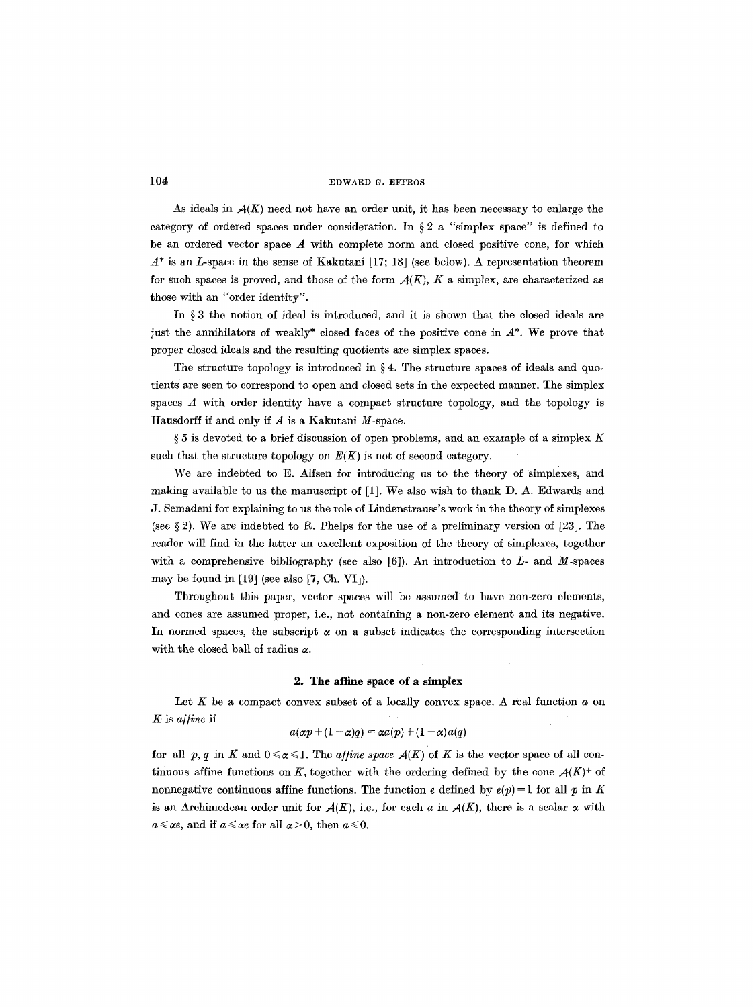As ideals in  $\mathcal{A}(K)$  need not have an order unit, it has been necessary to enlarge the category of ordered spaces under consideration. In  $\S 2$  a "simplex space" is defined to be an ordered vector space  $A$  with complete norm and closed positive cone, for which  $A^*$  is an L-space in the sense of Kakutani [17; 18] (see below). A representation theorem for such spaces is proved, and those of the form  $A(K)$ , K a simplex, are characterized as those with an "order identity".

In  $\S 3$  the notion of ideal is introduced, and it is shown that the closed ideals are just the annihilators of weakly\* closed faces of the positive cone in  $A^*$ . We prove that proper closed ideals and the resulting quotients are simplex spaces.

The structure topology is introduced in  $\S 4$ . The structure spaces of ideals and quotients are seen to correspond to open and closed sets in the expected manner. The simplex spaces  $A$  with order identity have a compact structure topology, and the topology is Hausdorff if and only if  $A$  is a Kakutani  $M$ -space.

 $\S 5$  is devoted to a brief discussion of open problems, and an example of a simplex K such that the structure topology on  $E(K)$  is not of second category.

We are indebted to E. Alfsen for introducing us to the theory of simplexes, and making available to us the manuscript of [1]. We also wish to thank D. A. Edwards and J. Semadeni for explaining to us the role of Lindenstrauss's work in the theory of simplexes (see  $\S 2$ ). We are indebted to R. Phelps for the use of a preliminary version of [23]. The reader will find in the latter an excellent exposition of the theory of simplexes, together with a comprehensive bibliography (see also  $[6]$ ). An introduction to  $L$ - and  $M$ -spaces may be found in [19] (see also [7, Ch. VI]).

Throughout this paper, vector spaces will be assumed to have non-zero elements, and cones are assumed proper, i.e., not containing a non-zero element and its negative. In normed spaces, the subscript  $\alpha$  on a subset indicates the corresponding intersection with the closed ball of radius  $\alpha$ .

### 2. The affine space of a simplex

Let  $K$  be a compact convex subset of a locally convex space. A real function  $a$  on K is *a/line* if

$$
a(\alpha p + (1 - \alpha)q) = \alpha a(p) + (1 - \alpha)a(q)
$$

for all p, q in K and  $0 \le \alpha \le 1$ . The *affine space*  $A(K)$  of K is the vector space of all continuous affine functions on *K*, together with the ordering defined by the cone  $A(K)^+$  of nonnegative continuous affine functions. The function e defined by  $e(p)=1$  for all p in K is an Archimedean order unit for  $A(K)$ , i.e., for each a in  $A(K)$ , there is a scalar  $\alpha$  with  $a \leq \alpha e$ , and if  $a \leq \alpha e$  for all  $\alpha > 0$ , then  $a \leq 0$ .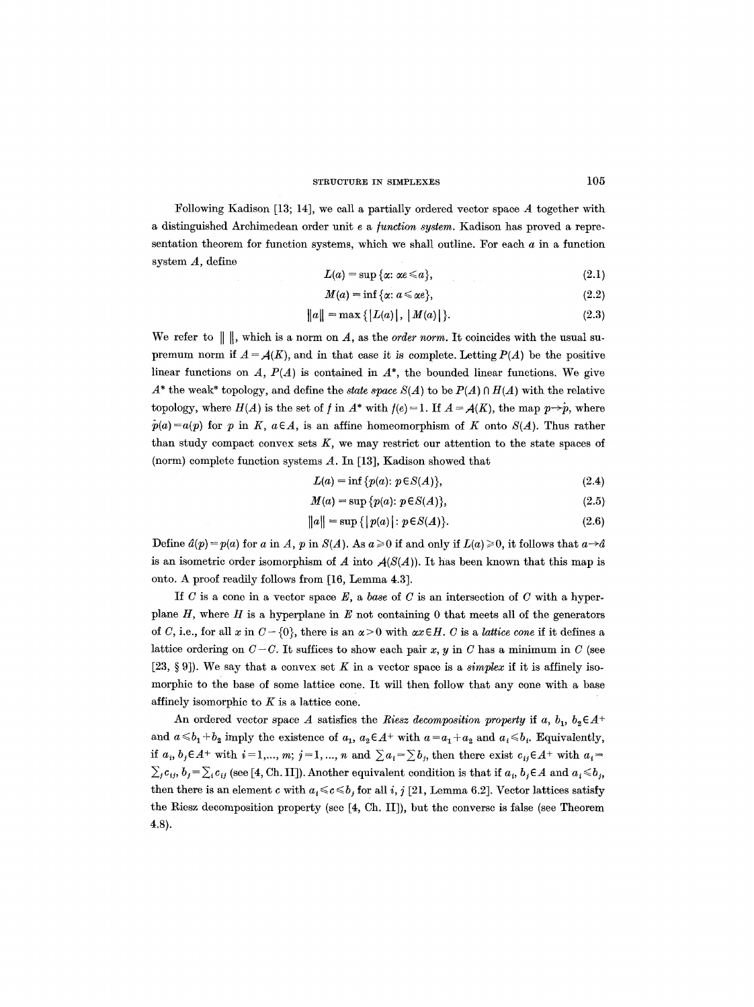Following Kadison [13; 14], we call a partially ordered vector space A together with a distinguished Archimedean order unit e a/unction *system.* Kadison has proved a representation theorem for function systems, which we shall outline. For each  $a$  in a function system A, define

$$
L(a) = \sup \{ \alpha : \alpha \in \mathbb{R} \},\tag{2.1}
$$

$$
M(a) = \inf \{ \alpha : a \leq \alpha e \},\tag{2.2}
$$

$$
||a|| = \max\{|L(a)|, |M(a)|\}.
$$
 (2.3)

We refer to  $\|\,\|$ , which is a norm on A, as the *order norm*. It coincides with the usual supremum norm if  $A = A(K)$ , and in that case it is complete. Letting  $P(A)$  be the positive linear functions on  $A$ ,  $P(A)$  is contained in  $A^*$ , the bounded linear functions. We give  $A^*$  the weak\* topology, and define the *state space*  $S(A)$  to be  $P(A) \cap H(A)$  with the relative topology, where  $H(A)$  is the set of f in  $A^*$  with  $f(e) = 1$ . If  $A = A(K)$ , the map  $p \rightarrow p$ , where  $\hat{p}(a)=a(p)$  for p in K,  $a\in A$ , is an affine homeomorphism of K onto  $S(A)$ . Thus rather than study compact convex sets  $K$ , we may restrict our attention to the state spaces of (norm) complete function systems A. In [13], Kadison showed that

$$
L(a) = \inf \{ p(a) : p \in S(A) \},\tag{2.4}
$$

$$
M(a) = \sup \{p(a): p \in S(A)\},\tag{2.5}
$$

$$
||a|| = \sup\{|p(a)| : p \in S(A)\}.
$$
 (2.6)

Define  $d(p)=p(a)$  for a in A, p in  $S(A)$ . As  $a\geq 0$  if and only if  $L(a)\geq 0$ , it follows that  $a\rightarrow a$ is an isometric order isomorphism of  $A$  into  $A(S(A))$ . It has been known that this map is onto. A proof readily follows from [16, Lemma 4.3].

If  $C$  is a cone in a vector space  $E$ , a *base* of  $C$  is an intersection of  $C$  with a hyperplane  $H$ , where  $H$  is a hyperplane in  $E$  not containing 0 that meets all of the generators of C, i.e., for all x in  $C - \{0\}$ , there is an  $\alpha > 0$  with  $\alpha x \in H$ . C is a *lattice cone* if it defines a lattice ordering on  $C-C$ . It suffices to show each pair x, y in C has a minimum in C (see [23, § 9]). We say that a convex set K in a vector space is a *simplex* if it is affinely isomorphic to the base of some lattice cone. It will then follow that any cone with a base affinely isomorphic to  $K$  is a lattice cone.

An ordered vector space A satisfies the *Riesz decomposition property* if a,  $b_1$ ,  $b_2 \in A^+$ and  $a \le b_1 + b_2$  imply the existence of  $a_1, a_2 \in A^+$  with  $a = a_1 + a_2$  and  $a_i \le b_i$ . Equivalently, if  $a_i, b_j \in A^+$  with  $i=1,..., m; j=1,..., n$  and  $\sum a_i = \sum b_j$ , then there exist  $c_{ij} \in A^+$  with  $a_i =$  $\sum_j c_{ij}$ ,  $b_j = \sum_i c_{ij}$  (see [4, Ch. II]). Another equivalent condition is that if  $a_i$ ,  $b_j \in A$  and  $a_i \leq b_j$ , then there is an element c with  $a_i \leq c \leq b_j$  for all i, j [21, Lemma 6.2]. Vector lattices satisfy the Riesz decomposition property (see [4, Ch. II]), but the converse is false (see Theorem 4.8).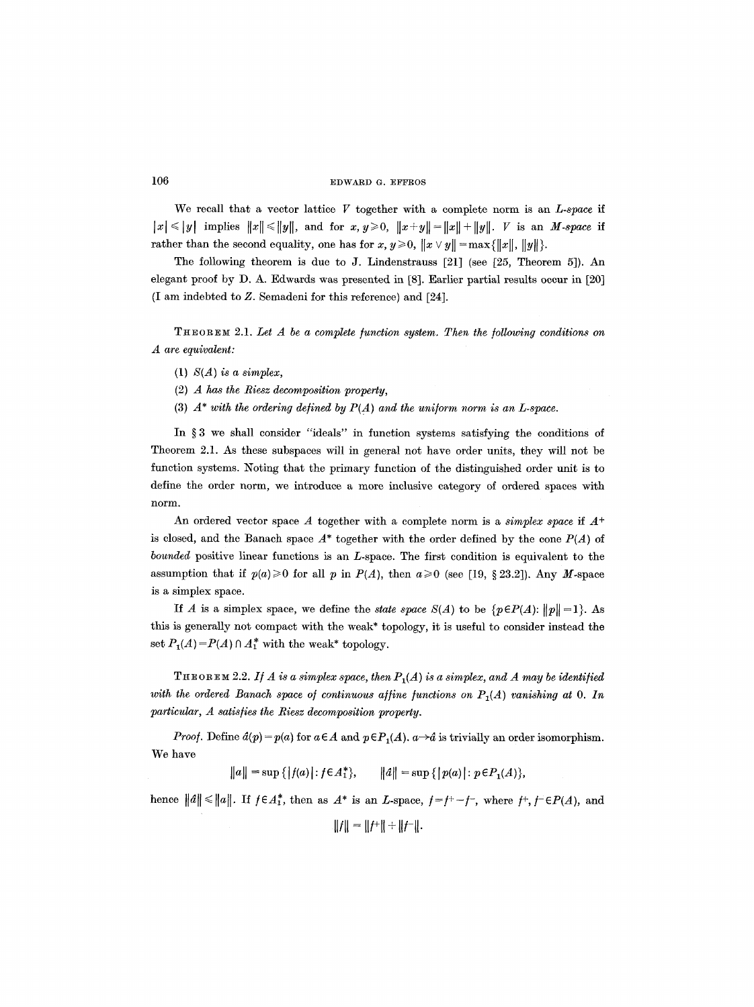We recall that a vector lattice V together with a complete norm is an *L-space if*   $|x| \leq |y|$  implies  $||x|| \leq ||y||$ , and for  $x, y \geq 0$ ,  $||x+y|| = ||x|| + ||y||$ . *V* is an *M-space* if rather than the second equality, one has for  $x, y \ge 0$ ,  $||x \vee y|| = \max{||x||, ||y||}.$ 

The following theorem is due to J. Lindenstrauss [21] (see [25, Theorem 5]). An elegant proof by D. A. Edwards was presented in [8]. Earlier partial results occur in [20] (I am indebted to Z. Semadeni for this reference) and [24].

THEOREM 2.1. *Let A be a complete function system. Then the following conditions on A are equivalent:* 

- (1) *S(A) is a simplex,*
- (2) *A has the Riesz decomposition property,*
- (3)  $A^*$  with the ordering defined by  $P(A)$  and the uniform norm is an L-space.

In  $\S 3$  we shall consider "ideals" in function systems satisfying the conditions of Theorem 2.1. As these subspaces will in general not have order units, they will not be function systems. Noting that the primary function of the distinguished order unit is to define the order norm, we introduce a more inclusive category of ordered spaces with norm.

An ordered vector space A together with a complete norm is a *simplex space* if  $A^+$ is closed, and the Banach space  $A^*$  together with the order defined by the cone  $P(A)$  of *bounded* positive linear functions is an L-space. The first condition is equivalent to the assumption that if  $p(a) \ge 0$  for all p in  $P(A)$ , then  $a \ge 0$  (see [19, § 23.2]). Any M-space is a simplex space.

If A is a simplex space, we define the *state space*  $S(A)$  to be  $\{p \in P(A): ||p|| = 1\}$ . As this is generally not compact with the weak\* topology, it is useful to consider instead the set  $P_1(A) = P(A) \cap A_1^*$  with the weak\* topology.

**THEOREM** 2.2. If A is a simplex space, then  $P_1(A)$  is a simplex, and A may be identified with the ordered Banach space of continuous affine functions on  $P_1(A)$  vanishing at 0. In *particular, A satisfies the Riesz decomposition property.* 

*Proof.* Define  $d(p) = p(a)$  for  $a \in A$  and  $p \in P_1(A)$ .  $a \rightarrow a$  is trivially an order isomorphism. We have

 $\|a\| = \sup \{|f(a)| : f \in A_1^*\},$   $\|a\| = \sup \{|p(a)| : p \in P_1(A)\},$ 

hence  $||\hat{a}|| \le ||a||$ . If  $f \in A_1^*$ , then as  $A^*$  is an *L*-space,  $f = f^+ - f^-$ , where  $f^+, f^- \in P(A)$ , and

 $\|f\| = \|f^+\| + \|f^-\|.$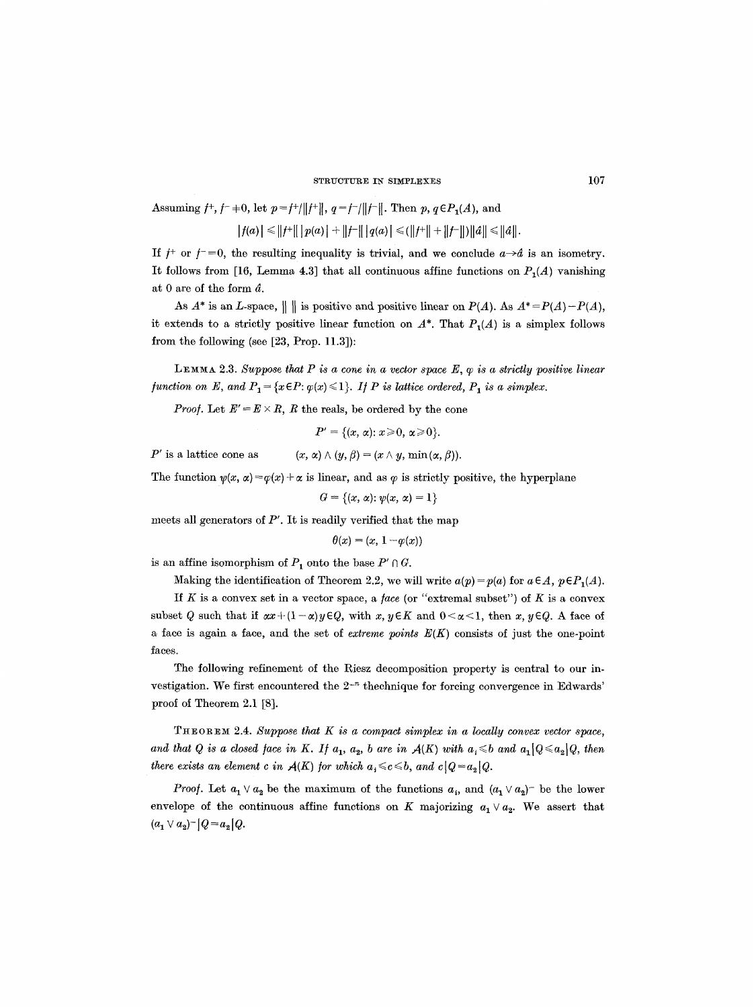Assuming  $f^+, f^-$  +0, let  $p = f^+ / ||f^+||$ ,  $q = f^- / ||f^-||$ . Then  $p, q \in P_1(A)$ , and  $|f(a)| \leq ||f^+|| |p(a)| + ||f^-|| |q(a)| \leq (||f^+|| + ||f^-||) ||a|| \leq ||a||.$ 

If  $f^+$  or  $f^- = 0$ , the resulting inequality is trivial, and we conclude  $a \rightarrow d$  is an isometry. It follows from [16, Lemma 4.3] that all continuous affine functions on  $P_1(A)$  vanishing at O are of the form d.

As  $A^*$  is an *L*-space,  $\|\|\$  is positive and positive linear on  $P(A)$ . As  $A^* = P(A) - P(A)$ , it extends to a strictly positive linear function on  $A^*$ . That  $P_1(A)$  is a simplex follows from the following (see [23, Prop. 11.3]):

LEMMA 2.3. Suppose that P is a cone in a vector space  $E, \varphi$  is a strictly positive linear *function on E, and P<sub>1</sub> = {x*  $\in$  *P:*  $\varphi(x) \leq 1$ *}. If P is lattice ordered, P<sub>1</sub> is a simplex.* 

*Proof.* Let  $E' = E \times R$ , R the reals, be ordered by the cone

 $P' = \{(x, \alpha): x \geqslant 0, \alpha \geqslant 0\}.$ 

P' is a lattice cone as  $(x, \alpha) \wedge (y, \beta) = (x \wedge y, \min(x, \beta)).$ 

The function  $\psi(x, \alpha) = \varphi(x) + \alpha$  is linear, and as  $\varphi$  is strictly positive, the hyperplane

 $G = \{(x, \alpha): \psi(x, \alpha) = 1\}$ 

meets all generators of  $P'$ . It is readily verified that the map

$$
\theta(x)=(x,\,1\,{-}\,\varphi(x))
$$

is an affine isomorphism of  $P_1$  onto the base  $P' \cap G$ .

Making the identification of Theorem 2.2, we will write  $a(p) = p(a)$  for  $a \in A$ ,  $p \in P_1(A)$ .

If K is a convex set in a vector space, a face (or "extremal subset") of K is a convex subset Q such that if  $\alpha x+(1-\alpha)y\in Q$ , with  $x, y\in K$  and  $0<\alpha<1$ , then  $x, y\in Q$ . A face of a face is again a face, and the set of *extreme points E(K)* consists of just the one-point faces.

The following refinement of the Riesz decomposition property is central to our investigation. We first encountered the  $2^{-n}$  thechnique for forcing convergence in Edwards' proof of Theorem 2.1 [8].

 $THEOREM~2.4. Suppose that K is a compact simplex in a locally convex vector space,$ and that Q is a closed face in K. If  $a_1$ ,  $a_2$ , b are in  $A(K)$  with  $a_1 \leq b$  and  $a_1 | Q \leq a_2 | Q$ , then *there exists an element c in*  $A(K)$  *for which*  $a_i \leq c \leq b$ *, and*  $c|Q=a_2|Q$ *.* 

*Proof.* Let  $a_1 \vee a_2$  be the maximum of the functions  $a_i$ , and  $(a_1 \vee a_2)^-$  be the lower envelope of the continuous affine functions on K majorizing  $a_1 \vee a_2$ . We assert that  $(a_1 \vee a_2)^{-1}Q = a_2 \cdot Q.$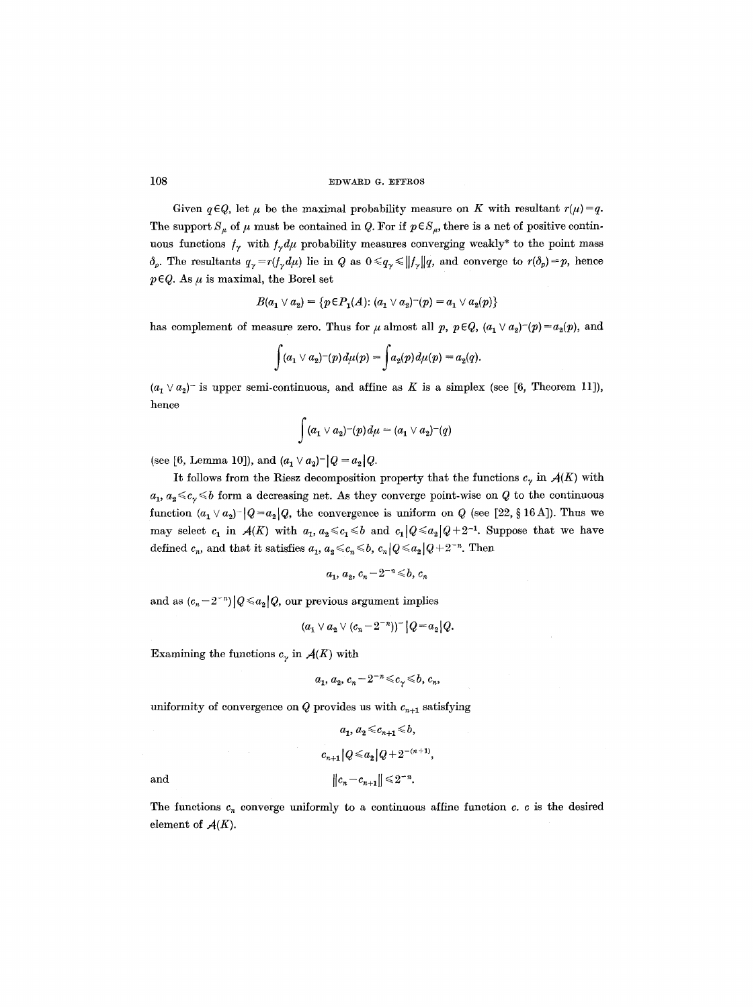Given  $q \in Q$ , let  $\mu$  be the maximal probability measure on K with resultant  $r(\mu) = q$ . The support  $S_{\mu}$  of  $\mu$  must be contained in Q. For if  $p \in S_{\mu}$ , there is a net of positive continuous functions  $f_{\gamma}$  with  $f_{\gamma}d\mu$  probability measures converging weakly\* to the point mass  $\delta_p$ . The resultants  $q_\gamma = r(f_\gamma d\mu)$  lie in Q as  $0 \leq q_\gamma \leq ||f_\gamma||q$ , and converge to  $r(\delta_p) = p$ , hence  $p \in Q$ . As  $\mu$  is maximal, the Borel set

$$
B(a_1 \vee a_2) = \{ p \in P_1(A) : (a_1 \vee a_2)^{-(p)} = a_1 \vee a_2(p) \}
$$

has complement of measure zero. Thus for  $\mu$  almost all  $p, p \in Q$ ,  $(a_1 \vee a_2)^{-(p)} = a_2(p)$ , and

$$
\int (a_1 \vee a_2)^{-(p)} d\mu(p) = \int a_2(p) d\mu(p) = a_2(q).
$$

 $(a_1 \vee a_2)$  is upper semi-continuous, and affine as K is a simplex (see [6, Theorem 11]), hence

$$
\int (a_1 \vee a_2)^{-(p)} d\mu = (a_1 \vee a_2)^{-(q)}
$$

(see [6, Lemma 10]), and  $(a_1 \vee a_2)^{-} |Q = a_2 |Q$ .

It follows from the Riesz decomposition property that the functions  $c_{\gamma}$  in  $\mathcal{A}(K)$  with  $a_1, a_2 \leq c_2 \leq b$  form a decreasing net. As they converge point-wise on Q to the continuous function  $(a_1 \vee a_2)^{-1}Q = a_2 \cdot Q$ , the convergence is uniform on Q (see [22, § 16 A]). Thus we may select  $c_1$  in  $\mathcal{A}(K)$  with  $a_1, a_2 \leq c_1 \leq b$  and  $c_1 | Q \leq a_2 | Q + 2^{-1}$ . Suppose that we have defined  $c_n$ , and that it satisfies  $a_1, a_2 \leq c_n \leq b$ ,  $c_n |Q \leq a_2 |Q + 2^{-n}$ . Then

$$
a_1, a_2, c_n - 2^{-n} \leq b, c_n
$$

and as  $(c_n - 2^{-n}) |Q \leq a_2 |Q$ , our previous argument implies

$$
(a_1 \vee a_2 \vee (c_n - 2^{-n}))^- |Q = a_2|Q.
$$

Examining the functions  $c_{\gamma}$  in  $\mathcal{A}(K)$  with

 $\sim$ 

$$
a_1, a_2, c_n - 2^{-n} \leq c_n \leq b, c_n,
$$

uniformity of convergence on  $Q$  provides us with  $c_{n+1}$  satisfying

$$
a_1, a_2 \leq c_{n+1} \leq b,
$$
  

$$
c_{n+1} |Q \leq a_2 |Q + 2^{-(n+1)},
$$
  
and  

$$
||c_n - c_{n+1}|| \leq 2^{-n}.
$$

The functions  $c_n$  converge uniformly to a continuous affine function c. c is the desired element of  $A(K)$ .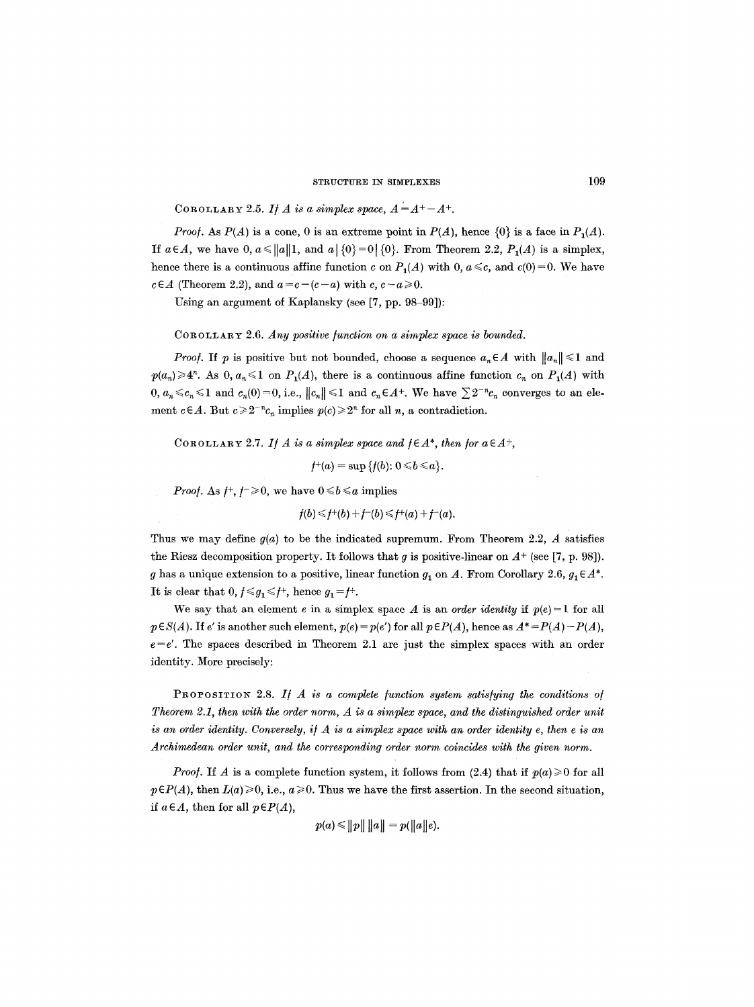COROLLARY 2.5. If A is a simplex space,  $A = A^+ - A^+$ .

*Proof.* As  $P(A)$  is a cone, 0 is an extreme point in  $P(A)$ , hence  $\{0\}$  is a face in  $P_1(A)$ . If  $a \in A$ , we have 0,  $a \le ||a||1$ , and  $a \mid \{0\} = 0 \mid \{0\}$ . From Theorem 2.2,  $P_1(A)$  is a simplex, hence there is a continuous affine function c on  $P_1(A)$  with 0,  $a \leq c$ , and  $c(0)=0$ . We have  $c \in A$  (Theorem 2.2), and  $a = c - (c - a)$  with  $c, c - a \ge 0$ .

Using an argument of Kaplansky (see [7, pp. 98-99]):

COROLLARY 2.6. *Any positive function on a simplex space is bounded.* 

*Proof.* If p is positive but not bounded, choose a sequence  $a_n \in A$  with  $||a_n|| \leq 1$  and  $p(a_n) \ge 4^n$ . As 0,  $a_n \le 1$  on  $P_1(A)$ , there is a continuous affine function  $c_n$  on  $P_1(A)$  with  $0, a_n \leq c_n \leq 1$  and  $c_n(0) = 0$ , i.e.,  $||c_n|| \leq 1$  and  $c_n \in A^+$ . We have  $\sum 2^{-n}c_n$  converges to an element  $c \in A$ . But  $c \ge 2^{-n}c_n$  implies  $p(c) \ge 2^n$  for all n, a contradiction.

COROLLARY 2.7. *If A is a simplex space and*  $f \in A^*$ *, then for a* $\in A^+$ ,

 $f^+(a) = \sup \{f(b): 0 \leq b \leq a\}.$ 

*Proof.* As  $f^+, f^- \geq 0$ , we have  $0 \leq b \leq a$  implies

$$
f(b) \leq f^+(b) + f^-(b) \leq f^+(a) + f^-(a).
$$

Thus we may define  $g(a)$  to be the indicated supremum. From Theorem 2.2, A satisfies the Riesz decomposition property. It follows that g is positive-linear on  $A^+$  (see [7, p. 98]). g has a unique extension to a positive, linear function  $g_1$  on A. From Corollary 2.6,  $g_1 \in A^*$ . It is clear that  $0, f \leq g_1 \leq f^+$ , hence  $g_1 = f^+$ .

We say that an element e in a simplex space A is an *order identity* if  $p(e) = 1$  for all  $p \in S(A)$ . If e' is another such element,  $p(e) = p(e')$  for all  $p \in P(A)$ , hence as  $A^* = P(A) - P(A)$ ,  $e=e'$ . The spaces described in Theorem 2.1 are just the simplex spaces with an order identity. More precisely:

PROPOSITION 2.8. If A is a complete function system satisfying the conditions of *Theorem 2.1, then with the order norm, A is a simplex space, and the distinguished order unit is an order identity. Conversely, if A is a simplex space with an order identity e, then e is an Archimedean order unit, and the corresponding order norm coincides with the given norm.* 

*Proof.* If A is a complete function system, it follows from (2.4) that if  $p(a) \ge 0$  for all  $p \in P(A)$ , then  $L(a) \geq 0$ , i.e.,  $a \geq 0$ . Thus we have the first assertion. In the second situation, *if*  $a \in A$ , then for all  $p \in P(A)$ ,

 $p(a) \leq ||p|| \, ||a|| = p(||a||e).$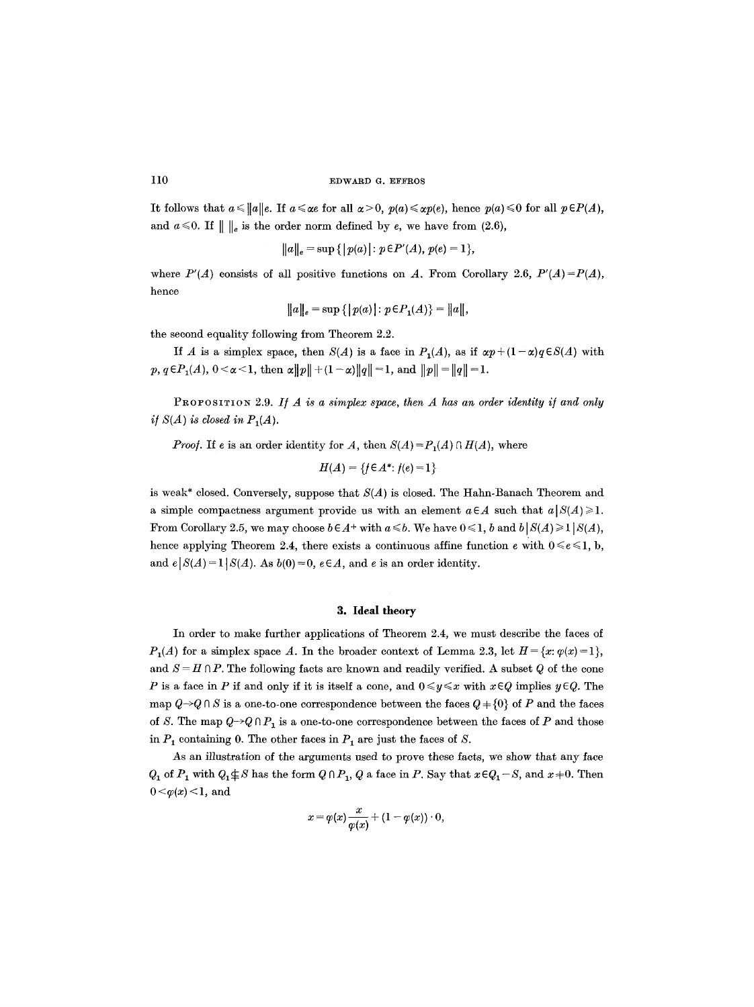It follows that  $a \le ||a||e$ . If  $a \le \alpha e$  for all  $\alpha > 0$ ,  $p(a) \le \alpha p(e)$ , hence  $p(a) \le 0$  for all  $p \in P(A)$ , and  $a \le 0$ . If  $\| \, \|_e$  is the order norm defined by e, we have from (2.6),

$$
||a||_e = \sup\{|p(a)|: p \in P'(A), p(e) = 1\},\
$$

where  $P'(A)$  consists of all positive functions on A. From Corollary 2.6,  $P'(A)=P(A)$ , hence

$$
||a||_e = \sup\{|p(a)|: p \in P_1(A)\} = ||a||,
$$

the second equality following from Theorem 2.2.

If A is a simplex space, then  $S(A)$  is a face in  $P_1(A)$ , as if  $\alpha p + (1-\alpha)q \in S(A)$  with  $p, q \in P_1(A), 0 < \alpha < 1$ , then  $\alpha ||p|| + (1 - \alpha) ||q|| = 1$ , and  $||p|| = ||q|| = 1$ .

PROPOSITION 2.9. If A is a simplex space, then A has an order identity if and only *if*  $S(A)$  *is closed in P<sub>1</sub>(A).* 

*Proof.* If e is an order identity for A, then  $S(A) = P_1(A) \cap H(A)$ , where

$$
H(A) = \{ f \in A^* : f(e) = 1 \}
$$

is weak\* closed. Conversely, suppose that *S(A)* is closed. The Hahn-Banach Theorem and a simple compactness argument provide us with an element  $a \in A$  such that  $a |S(A)| \geq 1$ . From Corollary 2.5, we may choose  $b \in A^+$  with  $a \le b$ . We have  $0 \le 1$ , b and  $b | S(A) \ge 1 | S(A)$ , hence applying Theorem 2.4, there exists a continuous affine function  $e$  with  $0 \le e \le 1$ , b, and  $e | S(A) = 1 | S(A)$ . As  $b(0) = 0$ ,  $e \in A$ , and e is an order identity.

### **3. Ideal theory**

In order to make further applications of Theorem 2.4, we must describe the faces of  $P_1(A)$  for a simplex space A. In the broader context of Lemma 2.3, let  $H = \{x: \varphi(x) = 1\}$ , and  $S = H \cap P$ . The following facts are known and readily verified. A subset Q of the cone P is a face in P if and only if it is itself a cone, and  $0 \le y \le x$  with  $x \in Q$  implies  $y \in Q$ . The map  $Q\rightarrow Q\cap S$  is a one-to-one correspondence between the faces  $Q + \{0\}$  of P and the faces of S. The map  $Q \rightarrow Q \cap P_1$  is a one-to-one correspondence between the faces of P and those in  $P_1$  containing 0. The other faces in  $P_1$  are just the faces of S.

As an illustration of the arguments used to prove these facts, we show that any face  $Q_1$  of  $P_1$  with  $Q_1 \not\subseteq S$  has the form  $Q \cap P_1$ ,  $Q$  a face in  $P$ . Say that  $x \in Q_1 - S$ , and  $x \neq 0$ . Then  $0 < \varphi(x) < 1$ , and

$$
x = \varphi(x) \frac{x}{\varphi(x)} + (1 - \varphi(x)) \cdot 0,
$$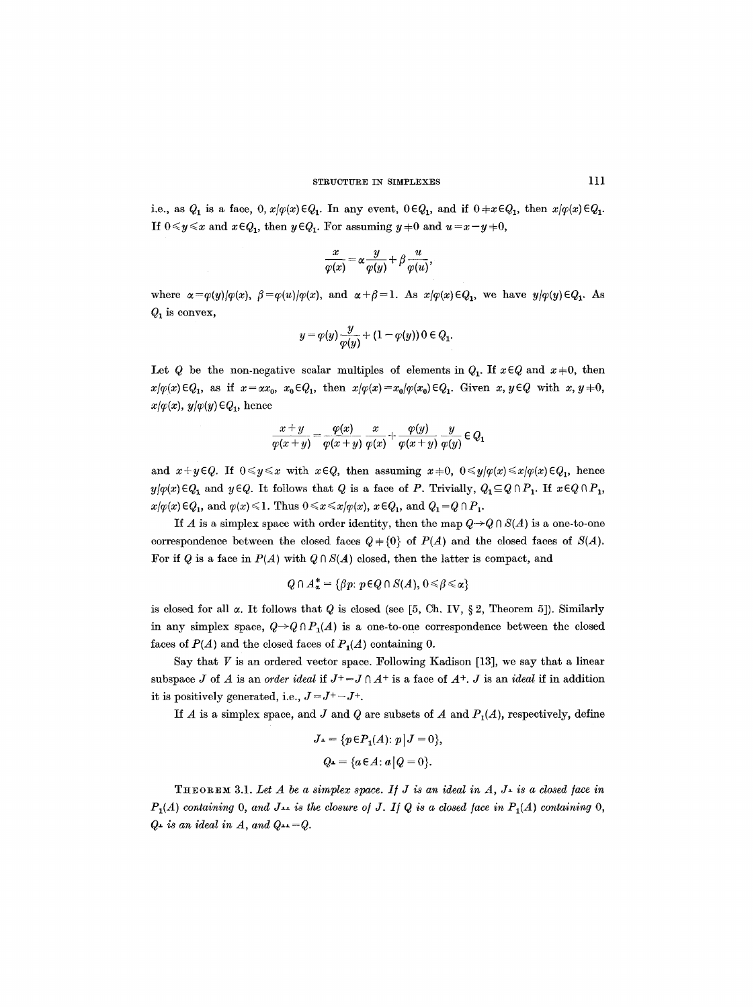i.e., as  $Q_1$  is a face,  $0, x/\varphi(x) \in Q_1$ . In any event,  $0 \in Q_1$ , and if  $0 \neq x \in Q_1$ , then  $x/\varphi(x) \in Q_1$ . If  $0 \leq y \leq x$  and  $x \in Q_1$ , then  $y \in Q_1$ . For assuming  $y \neq 0$  and  $u = x - y \neq 0$ ,

$$
\frac{x}{\varphi(x)} = \alpha \frac{y}{\varphi(y)} + \beta \frac{u}{\varphi(u)},
$$

where  $\alpha = \varphi(y)/\varphi(x)$ ,  $\beta = \varphi(u)/\varphi(x)$ , and  $\alpha + \beta = 1$ . As  $x/\varphi(x) \in Q_1$ , we have  $y/\varphi(y) \in Q_1$ . As  $Q_1$  is convex,

$$
y=\varphi(y)\frac{y}{\varphi(y)}+(1-\varphi(y))\, 0\in Q_1.
$$

Let Q be the non-negative scalar multiples of elements in  $Q_1$ . If  $x \in Q$  and  $x \neq 0$ , then  $x/\varphi(x) \in Q_1$ , as if  $x = \alpha x_0$ ,  $x_0 \in Q_1$ , then  $x/\varphi(x) = x_0/\varphi(x_0) \in Q_1$ . Given  $x, y \in Q$  with  $x, y \neq 0$ ,  $x/\varphi(x)$ ,  $y/\varphi(y) \in Q_1$ , hence

$$
\frac{x+y}{\varphi(x+y)} = \frac{\varphi(x)}{\varphi(x+y)} \frac{x}{\varphi(x)} + \frac{\varphi(y)}{\varphi(x+y)} \frac{y}{\varphi(y)} \in Q_1
$$

and  $x+y\in Q$ . If  $0\leq y\leq x$  with  $x\in Q$ , then assuming  $x\neq 0$ ,  $0\leq y/\varphi(x)\leq x/\varphi(x)\in Q_1$ , hence  $y/\varphi(x) \in Q_1$  and  $y \in Q$ . It follows that Q is a face of P. Trivially,  $Q_1 \subseteq Q \cap P_1$ . If  $x \in Q \cap P_1$ ,  $x/\varphi(x) \in Q_1$ , and  $\varphi(x) \leq 1$ . Thus  $0 \leq x \leq x/\varphi(x)$ ,  $x \in Q_1$ , and  $Q_1 = Q \cap P_1$ .

If A is a simplex space with order identity, then the map  $Q \rightarrow Q \cap S(A)$  is a one-to-one correspondence between the closed faces  $Q+{0}$  of  $P(A)$  and the closed faces of  $S(A)$ . For if Q is a face in  $P(A)$  with  $Q \cap S(A)$  closed, then the latter is compact, and

$$
Q \cap A_{\alpha}^* = \{\beta p \colon p \in Q \cap S(A), \, 0 \leq \beta \leq \alpha\}
$$

is closed for all  $\alpha$ . It follows that Q is closed (see [5, Ch, IV, § 2, Theorem 5]). Similarly in any simplex space,  $Q \rightarrow Q \cap P_1(A)$  is a one-to-one correspondence between the closed faces of  $P(A)$  and the closed faces of  $P<sub>1</sub>(A)$  containing 0.

Say that  $V$  is an ordered vector space. Following Kadison [13], we say that a linear subspace J of A is an *order ideal* if  $J^+=J \cap A^+$  is a face of  $A^+$ . J is an *ideal* if in addition it is positively generated, i.e.,  $J = J^+ - J^+$ .

If  $A$  is a simplex space, and  $J$  and  $Q$  are subsets of  $A$  and  $P<sub>1</sub>(A)$ , respectively, define

$$
J_{\mathbf{I}} = \{ p \in P_{\mathbf{I}}(A); \ p \mid J = 0 \},
$$
  

$$
Q_{\mathbf{I}} = \{ a \in A : a \mid Q = 0 \}.
$$

THEOREM 3.1. Let  $A$  be a simplex space. If  $J$  is an ideal in  $A$ ,  $J<sub>+</sub>$  is a closed face in  $P_1(A)$  containing 0, and  $J_{\perp}$  is the closure of J. If Q is a closed face in  $P_1(A)$  containing 0,  $Q_{\text{I}}$  is an ideal in A, and  $Q_{\text{II}}=Q$ .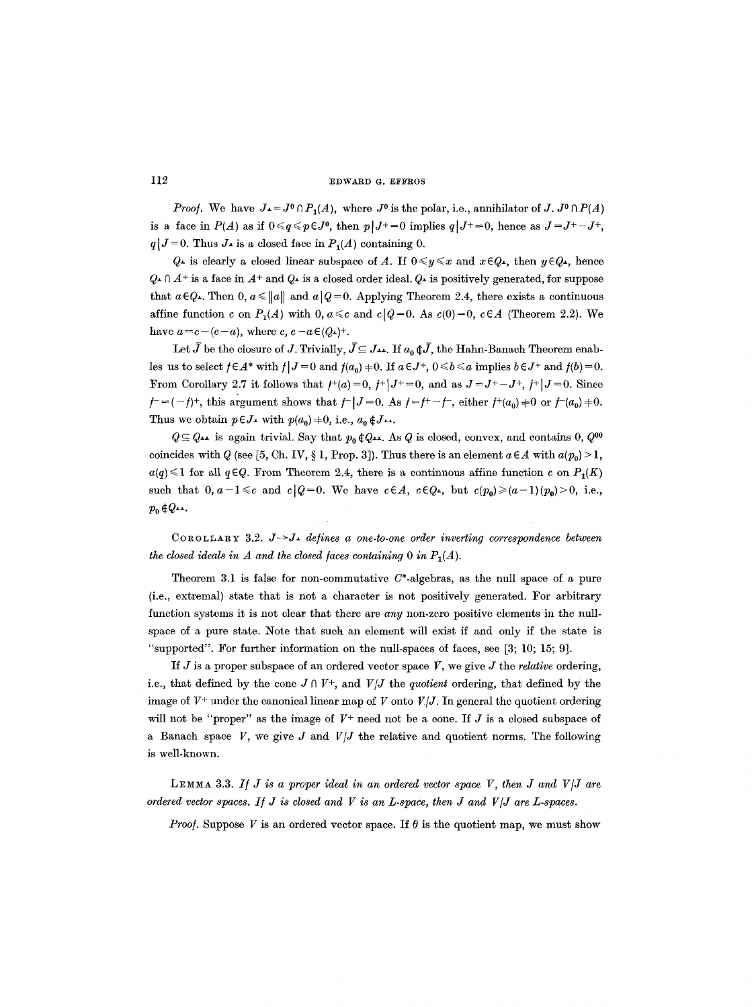*Proof.* We have  $J_1 = J^0 \cap P_1(A)$ , where  $J^0$  is the polar, i.e., annihilator of *J.*  $J^0 \cap P(A)$ is a face in  $P(A)$  as if  $0 \leq q \leq p \in J^0$ , then  $p|J^+=0$  implies  $q|J^+=0$ , hence as  $J=J^+-J^+$ ,  $q|J=0$ . Thus  $J_{\perp}$  is a closed face in  $P_{1}(A)$  containing 0.

 $Q_{\texttt{\texttt{I}}}$  is clearly a closed linear subspace of A. If  $0 \leq y \leq x$  and  $x \in Q_{\texttt{\texttt{I}}},$  then  $y \in Q_{\texttt{\texttt{I}}},$  hence  $Q_{\text{I}} \cap A^+$  is a face in  $A^+$  and  $Q_{\text{I}}$  is a closed order ideal.  $Q_{\text{I}}$  is positively generated, for suppose that  $a \in Q$ . Then 0,  $a \le ||a||$  and  $a||Q=0$ . Applying Theorem 2.4, there exists a continuous affine function c on  $P_1(A)$  with  $0, a \leq c$  and  $c(Q=0, \text{As } c(0)=0, c \in A$  (Theorem 2.2). We have  $a=c-(c-a)$ , where  $c, c-a\in (Q_1)^+$ .

Let  $\bar{J}$  be the closure of J. Trivially,  $\bar{J} \subseteq J_{++}$ . If  $a_0 \notin \bar{J}$ , the Hahn-Banach Theorem enables us to select  $f \in A^*$  with  $f | J = 0$  and  $f(a_0) = 0$ . If  $a \in J^+$ ,  $0 \le b \le a$  implies  $b \in J^+$  and  $f(b) = 0$ . From Corollary 2.7 it follows that  $f^+(a)=0$ ,  $f^+|J^+=0$ , and as  $J=J^+-J^+$ ,  $f^+|J=0$ . Since  $f = (-1)^{+}$ , this argument shows that  $f^{-}|J = 0$ . As  $f = f^{+} - f^{-}$ , either  $f^{+}(a_{0}) \neq 0$  or  $f^{-}(a_{0}) \neq 0$ . Thus we obtain  $p \in J_+$  with  $p(a_0) \neq 0$ , i.e.,  $a_0 \notin J_+$ .

 $Q \subseteq Q_{\text{++}}$  is again trivial. Say that  $p_0 \notin Q_{\text{++}}$ . As Q is closed, convex, and contains 0,  $Q^{00}$ coincides with Q (see [5, Ch. IV, § 1, Prop. 3]). Thus there is an element  $a \in A$  with  $a(p_0) > 1$ ,  $a(q) \leq 1$  for all  $q \in Q$ . From Theorem 2.4, there is a continuous affine function c on  $P_1(K)$ such that  $0, a-1 \leq c$  and  $c|Q=0$ . We have  $c \in A$ ,  $c \in Q_+$ , but  $c(p_0) \geq (a-1)(p_0) > 0$ , i.e.,  $p_0 \notin Q_{++}.$ 

COROLLARY 3.2. *J-->J, de/ines a one-to-one order inverting correspondence between the closed ideals in A and the closed faces containing 0 in*  $P_1(A)$ *.* 

Theorem 3.1 is false for non-commutative  $C^*$ -algebras, as the null space of a pure (i.e., extremal) state that is not a character is not positively generated. For arbitrary function systems it is not clear that there are *any* non-zero positive elements in the nullspace of a pure state. Note that such an element will exist if and only if the state is "supported". For further information on the null-spaces of faces, see [3; 10; 15; 9].

If J is a proper subspace of an ordered vector space V, we give J the *relative* ordering, i.e., that defined by the cone  $J \cap V^+$ , and  $V/J$  the *quotient* ordering, that defined by the image of  $V^+$  under the canonical linear map of V onto  $V/J$ . In general the quotient ordering will not be "proper" as the image of  $V^+$  need not be a cone. If J is a closed subspace of a Banach space  $V$ , we give  $J$  and  $V/J$  the relative and quotient norms. The following is well-known.

LEMMA 3.3. If  $J$  is a proper ideal in an ordered vector space  $V$ , then  $J$  and  $V/J$  are *ordered vector spaces. I/J is closed and V is an L-space, then J and V/J are L-spaces.* 

*Proof.* Suppose V is an ordered vector space. If  $\theta$  is the quotient map, we must show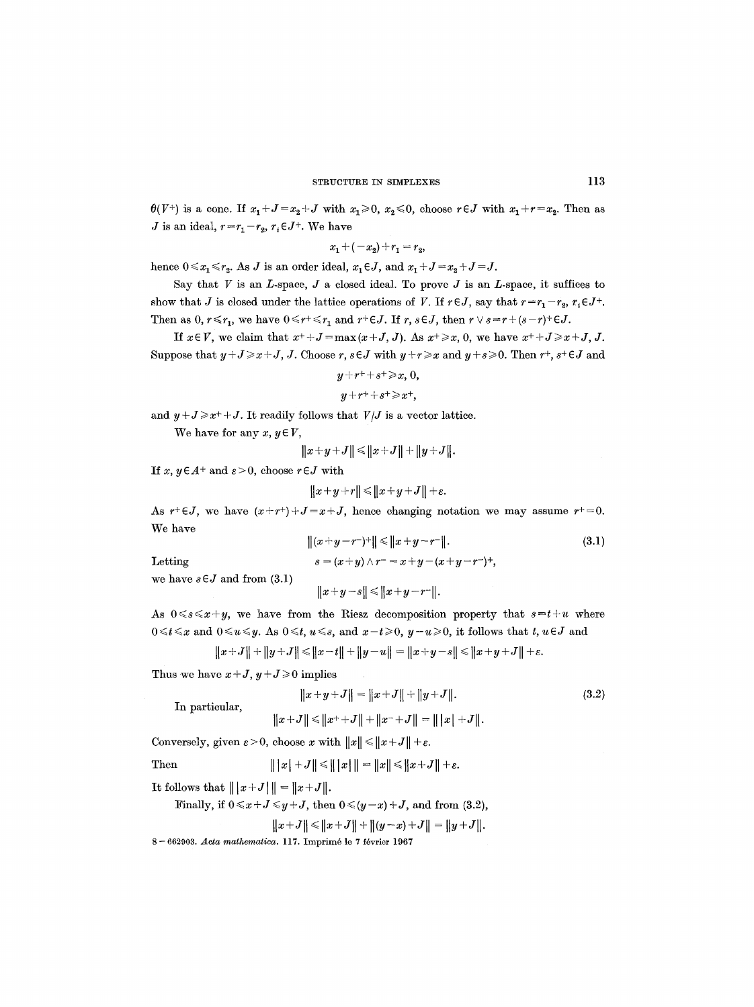$\theta(V^+)$  is a cone. If  $x_1+J=x_2+J$  with  $x_1\geq 0$ ,  $x_2\leq 0$ , choose  $r\in J$  with  $x_1+r=x_2$ . Then as *J* is an ideal,  $r=r_1-r_2$ ,  $r_1 \in J^+$ . We have

$$
x_1 + (-x_2) + r_1 = r_2,
$$

hence  $0 \leq x_1 \leq r_2$ . As J is an order ideal,  $x_1 \in J$ , and  $x_1 + J = x_2 + J = J$ .

Say that  $V$  is an  $L$ -space,  $J$  a closed ideal. To prove  $J$  is an  $L$ -space, it suffices to show that J is closed under the lattice operations of V. If  $r \in J$ , say that  $r = r_1 - r_2$ ,  $r_i \in J^+$ . Then as  $0, r \le r_1$ , we have  $0 \le r^+ \le r_1$  and  $r^+ \in J$ . If  $r, s \in J$ , then  $r \vee s = r^+ (s - r)^+ \in J$ .

If  $x \in V$ , we claim that  $x^+ + J = \max(x+J, J)$ . As  $x^+ \ge x$ , 0, we have  $x^+ + J \ge x + J$ , J. Suppose that  $y + J \ge x + J$ , J. Choose r, s  $\in J$  with  $y + r \ge x$  and  $y + s \ge 0$ . Then  $r + s + \in J$  and

$$
y + r^+ + s^+ \geq x, 0,
$$

$$
y+r++s^+\geq x^+,
$$

and  $y+J \geq x^+ + J$ . It readily follows that  $V/J$  is a vector lattice.

We have for any  $x, y \in V$ ,

$$
||x+y+J|| \le ||x+J|| + ||y+J||.
$$

*If x, y*  $\in$  *A*<sup>+</sup> and  $\varepsilon$  > 0, choose  $r \in J$  with

$$
||x+y+r||\leq ||x+y+J||+\varepsilon.
$$

As  $r+\in J$ , we have  $(x+r+)+J=x+J$ , hence changing notation we may assume  $r+=0$ . We have

Letting

$$
||(x+y-r^{-})+|| \le ||x+y-r^{-}||.
$$
  
\n
$$
s = (x+y) \wedge r^{-} = x+y-(x+y-r^{-})^{+},
$$
\n(3.1)

we have  $s \in J$  and from  $(3.1)$ 

$$
||x+y-s||\leq ||x+y-r^-||.
$$

As  $0 \le s \le x+y$ , we have from the Riesz decomposition property that  $s=t+u$  where  $0 \leq t \leq x$  and  $0 \leq u \leq y$ . As  $0 \leq t$ ,  $u \leq s$ , and  $x-t \geq 0$ ,  $y-u \geq 0$ , it follows that  $t, u \in J$  and

$$
||x+J||+||y+J|| \le ||x-t||+||y-u|| = ||x+y-s|| \le ||x+y+J||+\varepsilon.
$$

Thus we have  $x+J$ ,  $y+J \ge 0$  implies

In particular,  

$$
||x+y+J|| = ||x+J|| + ||y+J||.
$$
(3.2)  

$$
||x+J|| \le ||x+J|| + ||x-J|| = ||x|+J||.
$$

Conversely, given  $\varepsilon > 0$ , choose x with  $||x|| \le ||x+J|| + \varepsilon$ .

Then 
$$
|||x| + J|| \le |||x||| = ||x|| \le ||x + J|| + \varepsilon
$$
.

**It follows that**  $\| |x+J| \| = \|x+J\|$ **.** 

Finally, if  $0 \le x + J \le y + J$ , then  $0 \le (y-x)+J$ , and from (3.2),

$$
||x+J|| \le ||x+J|| + ||(y-x)+J|| = ||y+J||.
$$

8 - 662903. *Acta mathematica.* 117. Imprimé le 7 février 1967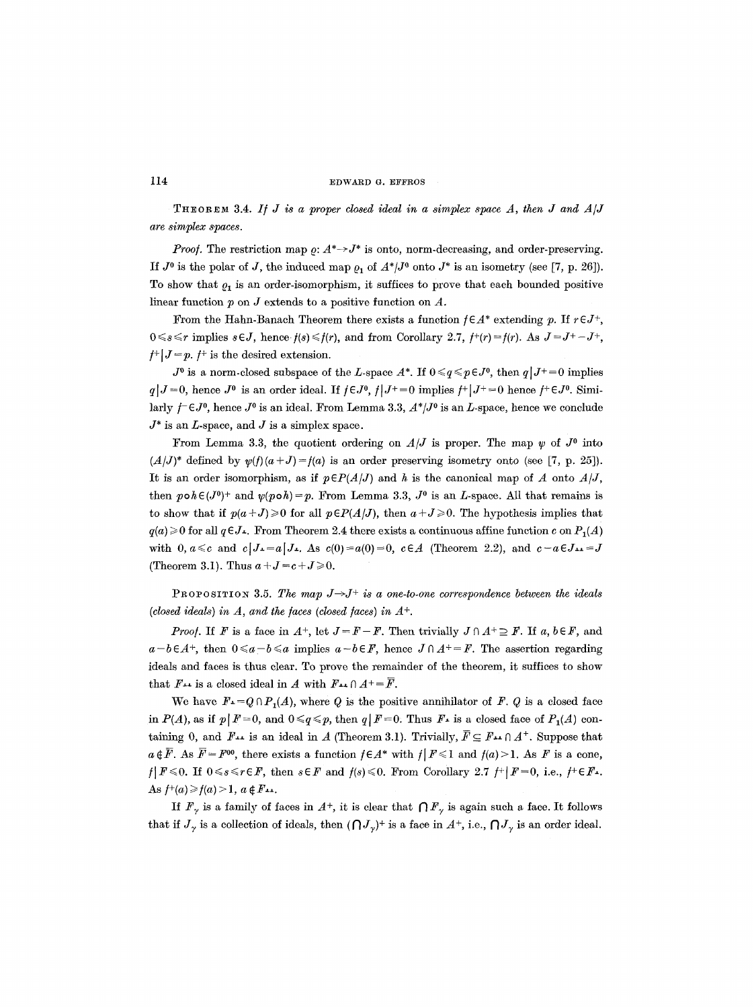THEOREM 3.4. *I/ J is a proper closed ideal in a simplex space A, then J and A/J are simplex spaces.* 

*Proof.* The restriction map  $\rho: A^* \rightarrow J^*$  is onto, norm-decreasing, and order-preserving. If  $J^0$  is the polar of  $J$ , the induced map  $\rho_1$  of  $A^*/J^0$  onto  $J^*$  is an isometry (see [7, p. 26]). To show that  $\rho_1$  is an order-isomorphism, it suffices to prove that each bounded positive linear function  $p$  on  $J$  extends to a positive function on  $A$ .

From the Hahn-Banach Theorem there exists a function  $f \in A^*$  extending p. If  $r \in J^*$ ,  $0 \leq s \leq r$  implies  $s \in J$ , hence  $f(s) \leq f(r)$ , and from Corollary 2.7,  $f^+(r) = f(r)$ . As  $J = J^+ - J^+$ ,  $f^+|J=p. f^+$  is the desired extension.

 $J^0$  is a norm-closed subspace of the L-space  $A^*$ . If  $0 \leq q \leq p \in J^0$ , then  $q \mid J^+ = 0$  implies  $q \mid J = 0$ , hence  $J^0$  is an order ideal. If  $j \in J^0$ ,  $j \mid J^+ = 0$  implies  $j^+ \mid J^+ = 0$  hence  $j^+ \in J^0$ . Similarly  $f \in J^0$ , hence  $J^0$  is an ideal. From Lemma 3.3,  $A^*/J^0$  is an L-space, hence we conclude  $J^*$  is an *L*-space, and  $J$  is a simplex space.

From Lemma 3.3, the quotient ordering on  $A/J$  is proper. The map  $\psi$  of  $J^0$  into  $(A/J)^*$  defined by  $\psi(f)(a+J)=f(a)$  is an order preserving isometry onto (see [7, p. 25]). It is an order isomorphism, as if  $p \in P(A/J)$  and h is the canonical map of A onto  $A/J$ , then  $p \circ h \in (J^0)^+$  and  $\psi(p \circ h) = p$ . From Lemma 3.3,  $J^0$  is an *L*-space. All that remains is to show that if  $p(a+J) \ge 0$  for all  $p \in P(A/J)$ , then  $a+J \ge 0$ . The hypothesis implies that  $q(a) \geq 0$  for all  $q \in J$ . From Theorem 2.4 there exists a continuous affine function c on  $P_1(A)$ with 0,  $a \leq c$  and  $c | J_{\perp} = a | J_{\perp}$ . As  $c(0) = a(0) = 0$ ,  $c \in A$  (Theorem 2.2), and  $c - a \in J_{\perp} = J$ (Theorem 3.1). Thus  $a+J=c+J\geq 0$ .

PROPOSITION 3.5. The map  $J \rightarrow J^+$  is a one-to-one correspondence between the ideals *(closed ideals) in A, and the faces (closed faces) in*  $A^+$ *.* 

*Proof.* If F is a face in  $A^+$ , let  $J = F - F$ . Then trivially  $J \cap A^+ \supseteq F$ . If a,  $b \in F$ , and  $a - b \in A^+$ , then  $0 \le a - b \le a$  implies  $a - b \in F$ , hence  $J \cap A^+ = F$ . The assertion regarding ideals and faces is thus clear. To prove the remainder of the theorem, it suffices to show that  $F_{++}$  is a closed ideal in A with  $F_{++} \cap A^+ = \overline{F}$ .

We have  $F = Q \cap P_1(A)$ , where Q is the positive annihilator of F. Q is a closed face in  $P(A)$ , as if  $p|F=0$ , and  $0 \leq q \leq p$ , then  $q|F=0$ . Thus  $F<sup>1</sup>$  is a closed face of  $P<sub>1</sub>(A)$  containing 0, and  $F_{++}$  is an ideal in A (Theorem 3.1). Trivially,  $\bar{F} \subseteq F_{++} \cap A^+$ . Suppose that  $a \notin \overline{F}$ . As  $\overline{F} = F^{00}$ , there exists a function  $f \in A^*$  with  $f | F \leq 1$  and  $f(a) > 1$ . As F is a cone,  $f|F \le 0$ . If  $0 \le s \le r \in F$ , then  $s \in F$  and  $f(s) \le 0$ . From Corollary 2.7  $f^+|F=0$ , i.e.,  $f^+ \in F$ -. As  $f^+(a) \geq f(a) > 1, a \notin F...$ 

*If*  $F_\gamma$  is a family of faces in  $A^+$ , it is clear that  $\bigcap F_\gamma$  is again such a face. It follows that if  $J_{\gamma}$  is a collection of ideals, then  $(\bigcap J_{\gamma})^+$  is a face in  $A^+$ , i.e.,  $\bigcap J_{\gamma}$  is an order ideal.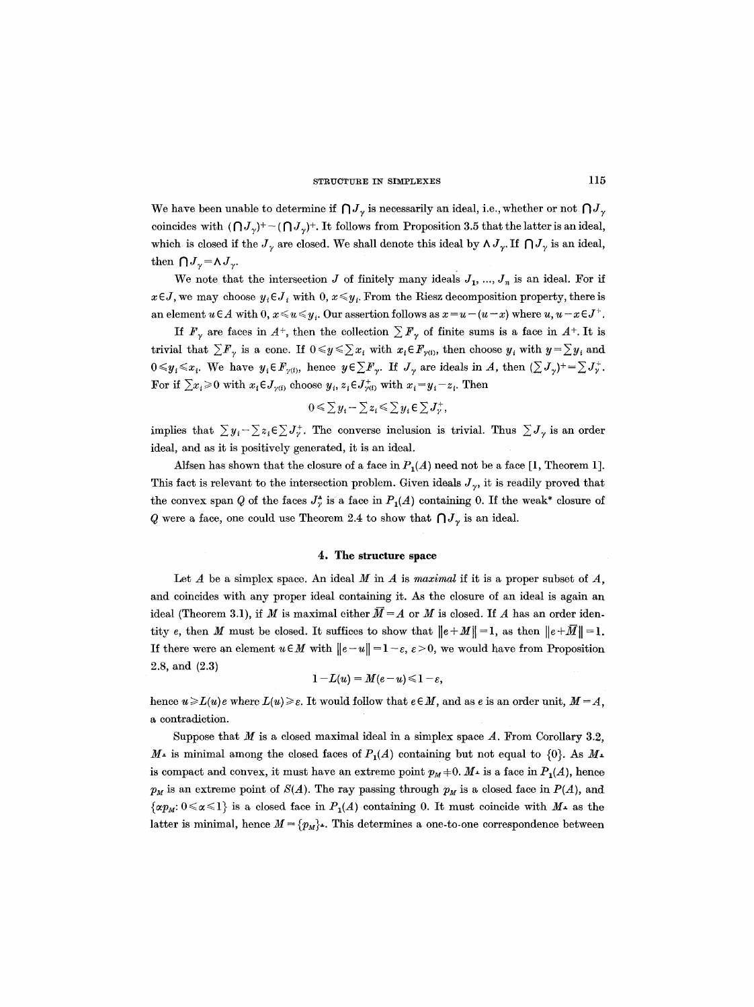We have been unable to determine if  $\bigcap J_{\gamma}$  is necessarily an ideal, i.e., whether or not  $\bigcap J_{\gamma}$ coincides with  $(\bigcap J_{\gamma})^+$  -  $(\bigcap J_{\gamma})^+$ . It follows from Proposition 3.5 that the latter is an ideal, which is closed if the  $J_{\gamma}$  are closed. We shall denote this ideal by  $\Lambda J_{\gamma}$ . If  $\bigcap J_{\gamma}$  is an ideal, then  $\bigcap J_{\gamma} = \bigwedge J_{\gamma}$ .

We note that the intersection  $J$  of finitely many ideals  $J_1, ..., J_n$  is an ideal. For if  $x \in J$ , we may choose  $y_i \in J_i$  with 0,  $x \leq y_i$ . From the Riesz decomposition property, there is an element  $u \in A$  with  $0, x \leq u \leq y_i$ . Our assertion follows as  $x = u - (u - x)$  where  $u, u - x \in J^+$ .

If  $F_{\gamma}$  are faces in  $A^{+}$ , then the collection  $\sum F_{\gamma}$  of finite sums is a face in  $A^{+}$ . It is trivial that  $\sum F_{\gamma}$  is a cone. If  $0 \leq y \leq \sum x_i$  with  $x_i \in F_{\gamma(i)}$ , then choose  $y_i$  with  $y = \sum y_i$  and  $0 \leq y_i \leq x_i$ . We have  $y_i \in F_{\gamma(i)}$ , hence  $y \in \sum F_{\gamma}$ . If  $J_{\gamma}$  are ideals in A, then  $(\sum J_{\gamma})^+ = \sum J_{\gamma}^+$ . For if  $\sum x_i \geq 0$  with  $x_i \in J_{\gamma(i)}$  choose  $y_i, z_i \in J_{\gamma(i)}^+$  with  $x_i = y_i - z_i$ . Then

$$
0 \leqslant \sum y_i - \sum z_i \leqslant \sum y_i \in \sum J^+_{\gamma}
$$

implies that  $\sum y_i - \sum z_i \in \sum J_i^+$ . The converse inclusion is trivial. Thus  $\sum J_i$  is an order ideal, and as it is positively generated, it is an ideal.

Alfsen has shown that the closure of a face in  $P_1(A)$  need not be a face [1, Theorem 1]. This fact is relevant to the intersection problem. Given ideals  $J_{\gamma}$ , it is readily proved that the convex span Q of the faces  $J^{\bullet}_{\gamma}$  is a face in  $P_1(A)$  containing 0. If the weak\* closure of Q were a face, one could use Theorem 2.4 to show that  $\bigcap J_{\gamma}$  is an ideal.

#### **4. The structure space**

Let  $A$  be a simplex space. An ideal  $M$  in  $A$  is *maximal* if it is a proper subset of  $A$ , and coincides with any proper ideal containing it. As the closure of an ideal is again an ideal (Theorem 3.1), if M is maximal either  $\overline{M}=A$  or M is closed. If A has an order identity e, then M must be closed. It suffices to show that  $||e+M||=1$ , as then  $||e+\overline{M}||=1$ . If there were an element  $u \in M$  with  $||e-u|| = 1-\varepsilon$ ,  $\varepsilon > 0$ , we would have from Proposition 2.8, and (2.3)

$$
1 - L(u) = M(e - u) \leq 1 - \varepsilon,
$$

hence  $u \ge L(u)$ e where  $L(u) \ge \varepsilon$ . It would follow that  $e \in M$ , and as e is an order unit,  $M = A$ , a contradiction.

Suppose that M is a closed maximal ideal in a simplex space  $A$ . From Corollary 3.2,  $M_{\rm\text{-}}$  is minimal among the closed faces of  $P_{\rm\text{1}}(A)$  containing but not equal to  $\{0\}$ . As  $M_{\rm\text{-}}$ is compact and convex, it must have an extreme point  $p_M+0$ .  $M<sup>+</sup>$  is a face in  $P_1(A)$ , hence  $p_M$  is an extreme point of  $S(A)$ . The ray passing through  $p_M$  is a closed face in  $P(A)$ , and  $\{\alpha p_M: 0 \le \alpha \le 1\}$  is a closed face in  $P_1(A)$  containing 0. It must coincide with  $M<sub>+</sub>$  as the latter is minimal, hence  $M = \{p_M\}$ . This determines a one-to-one correspondence between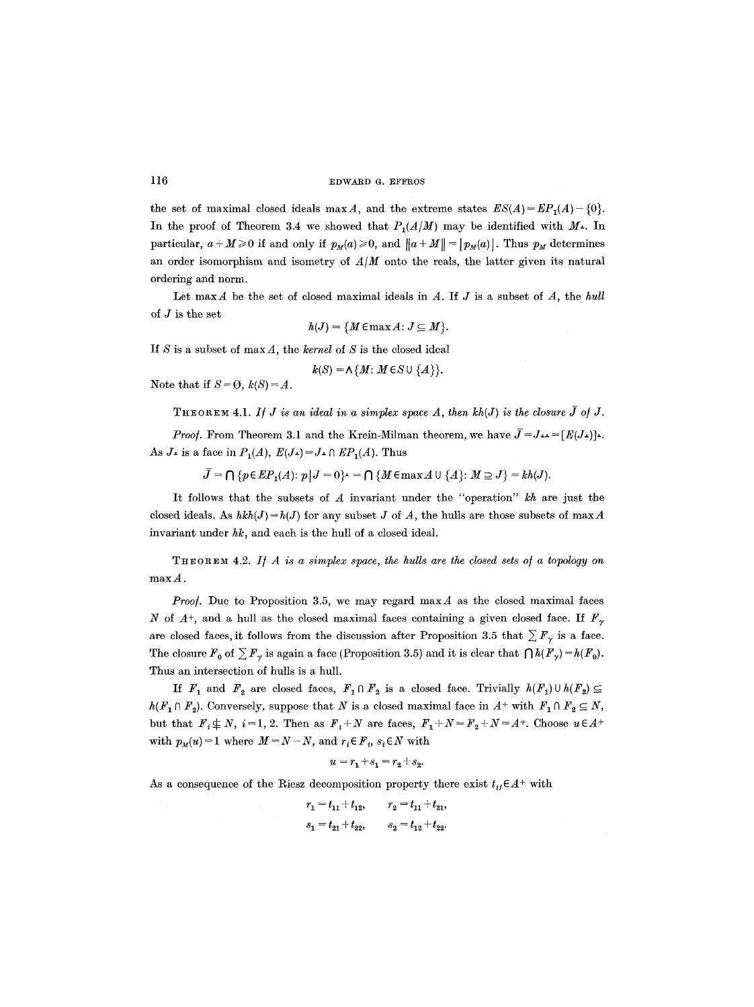the set of maximal closed ideals maxA, and the extreme states  $ES(A) = EP<sub>1</sub>(A) - {0}.$ In the proof of Theorem 3.4 we showed that  $P_1(A/M)$  may be identified with  $M<sub>+</sub>$ . In particular,  $a + M \ge 0$  if and only if  $p_M(a) \ge 0$ , and  $||a + M|| = |p_M(a)|$ . Thus  $p_M$  determines an order isomorphism and isometry of *AIM* onto the reals, the latter given its natural ordering and norm.

Let maxA be the set of closed maximal ideals in A. If J is a subset of *A,* the *hull*  of J is the set

 $h(J) = \{M \in \max A : J \subseteq M\}.$ 

If S is a subset of maxA, the *kernel of S* is the closed ideal

$$
k(S) = \Lambda \{M: M \in S \cup \{A\}\}.
$$

Note that if  $S = \emptyset$ ,  $k(S) = A$ .

THEOREM 4.1. If  $J$  is an ideal in a simplex space  $A$ , then  $kh(J)$  is the closure  $\bar{J}$  of  $J$ .

*Proof.* From Theorem 3.1 and the Krein-Milman theorem, we have  $\overline{J} = J_{++} = [E(J_{+})]_{+}$ . As  $J_{\perp}$  is a face in  $P_1(A)$ ,  $E(J_{\perp}) = J_{\perp} \cap EP_1(A)$ . Thus

 $\bar{J} = \bigcap \{p \in EP_1(A): p | J = 0\} = \bigcap \{M \in \max A \cup \{A\}: M \supseteq J\} = kh(J).$ 

It follows that the subsets of  $A$  invariant under the "operation"  $kh$  are just the closed ideals. As  $hkh(J)=h(J)$  for any subset J of A, the hulls are those subsets of maxA invariant under  $hk$ , and each is the hull of a closed ideal.

THEOREM 4.2. If  $A$  is a simplex space, the hulls are the closed sets of a topology on  $max A$ .

*Proof.* Due to Proposition 3.5, we may regard max $\vec{A}$  as the closed maximal faces N of  $A^+$ , and a hull as the closed maximal faces containing a given closed face. If  $F_{\gamma}$ are closed faces, it follows from the discussion after Proposition 3.5 that  $\sum F_{\gamma}$  is a face. The closure  $F_0$  of  $\sum F_\gamma$  is again a face (Proposition 3.5) and it is clear that  $\bigcap h(F_\gamma)=h(F_0)$ . Thus an intersection of hulls is a hull.

If  $F_1$  and  $F_2$  are closed faces,  $F_1 \cap F_2$  is a closed face. Trivially  $h(F_1) \cup h(F_2) \subseteq$  $h(F_1 \cap F_2)$ . Conversely, suppose that N is a closed maximal face in  $A^+$  with  $F_1 \cap F_2 \subseteq N$ , but that  $F_i \not\subseteq N$ ,  $i=1, 2$ . Then as  $F_i+N$  are faces,  $F_1+N=F_2+N=A^+$ . Choose  $u \in A^+$ with  $p_M(u)=1$  where  $M=N-N$ , and  $r_i \in F_i$ ,  $s_i \in N$  with

$$
u = r_1 + s_1 = r_2 + s_2.
$$

As a consequence of the Riesz decomposition property there exist  $t_{ij} \in A^+$  with

 $r_1 = t_{11} + t_{12}, \qquad r_2 = t_{11} + t_{21},$  $s_1 = t_{21} + t_{22}, \qquad s_2 = t_{12} + t_{22}.$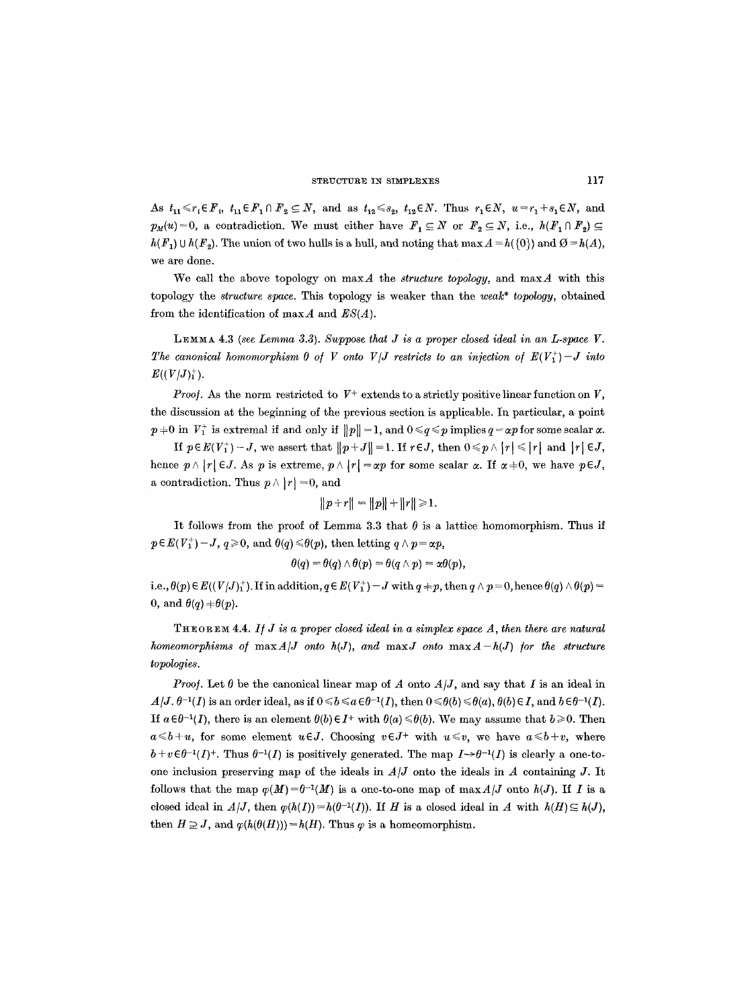As  $t_{11} \leq r_i \in F_i$ ,  $t_{11} \in F_1 \cap F_2 \subseteq N$ , and as  $t_{12} \leq s_2$ ,  $t_{12} \in N$ . Thus  $r_1 \in N$ ,  $u = r_1 + s_1 \in N$ , and  $p_M(u) = 0$ , a contradiction. We must either have  $F_1 \subseteq N$  or  $F_2 \subseteq N$ , i.e.,  $h(F_1 \cap F_2) \subseteq$  $h(F_1) \cup h(F_2)$ . The union of two hulls is a hull, and noting that max  $A = h({0})$  and  $\emptyset = h(A)$ , we are done.

We call the above topology on  $\max A$  the *structure topology*, and  $\max A$  with this topology the *structure space.* This topology is weaker than the *weak\* topology,* obtained from the identification of maxA and *ES(A).* 

LEMMA  $4.3$  *(see Lemma 3.3). Suppose that J is a proper closed ideal in an L-space V. The canonical homomorphism 0 of V onto V[J restricts to an injection of*  $E(V_1^+) - J$  *into*  $E((V/J)<sub>1</sub>)<sub>1</sub>$ .

*Proof.* As the norm restricted to  $V^+$  extends to a strictly positive linear function on  $V$ , the discussion at the beginning of the previous section is applicable. In particular, a point  $p+0$  in  $V_1^+$  is extremal if and only if  $||p||=1$ , and  $0 \leq q \leq p$  implies  $q = \alpha p$  for some scalar  $\alpha$ .

*If*  $p \in E(V_1^+) - J$ , we assert that  $||p + J|| = 1$ . If  $r \in J$ , then  $0 \leq p \wedge |r| \leq |r|$  and  $|r| \in J$ , hence  $p \wedge |r| \in J$ . As p is extreme,  $p \wedge |r| = \alpha p$  for some scalar  $\alpha$ . If  $\alpha \neq 0$ , we have  $p \in J$ , a contradiction. Thus  $p \wedge |r| = 0$ , and

$$
||p+r|| = ||p|| + ||r|| \ge 1.
$$

It follows from the proof of Lemma 3.3 that  $\theta$  is a lattice homomorphism. Thus if  $p \in E(V_1^+) - J$ ,  $q \ge 0$ , and  $\theta(q) \le \theta(p)$ , then letting  $q \wedge p = \alpha p$ ,

$$
\theta(q) = \theta(q) \wedge \theta(p) = \theta(q \wedge p) = \alpha \theta(p),
$$

i.e.,  $\theta(p) \in E((V/J)^+_1)$ . If in addition,  $q \in E(V^+_1) - J$  with  $q \neq p$ , then  $q \wedge p = 0$ , hence  $\theta(q) \wedge \theta(p) =$ 0, and  $\theta(q) \neq \theta(p)$ .

THEOREM 4.4. If J is a proper closed ideal in a simplex space A, then there are natural *homeomorphisms of*  $\max A/J$  *onto h(J), and*  $\max J$  *onto*  $\max A - h(J)$  *for the structure topologies.* 

*Proof.* Let  $\theta$  be the canonical linear map of A onto  $A/J$ , and say that I is an ideal in  $A/J. \theta^{-1}(I)$  is an order ideal, as if  $0 \leq b \leq a \epsilon \theta^{-1}(I)$ , then  $0 \leq \theta(b) \leq \theta(a)$ ,  $\theta(b) \in I$ , and  $b \epsilon \theta^{-1}(I)$ . If  $a \in \theta^{-1}(I)$ , there is an element  $\theta(b) \in I^+$  with  $\theta(a) \leq \theta(b)$ . We may assume that  $b \geq 0$ . Then  $a \leq b + u$ , for some element  $u \in J$ . Choosing  $v \in J^+$  with  $u \leq v$ , we have  $a \leq b + v$ , where  $b+v\epsilon\theta^{-1}(I)^+$ . Thus  $\theta^{-1}(I)$  is positively generated. The map  $I\rightarrow\theta^{-1}(I)$  is clearly a one-toone inclusion preserving map of the ideals in  $A/J$  onto the ideals in A containing J. It follows that the map  $\varphi(M)=\theta^{-1}(M)$  is a one-to-one map of max  $A/J$  onto  $h(J)$ . If I is a closed ideal in  $A/J$ , then  $\varphi(h(I)) = h(\theta^{-1}(I))$ . If H is a closed ideal in A with  $h(H) \subseteq h(J)$ , then  $H \supseteq J$ , and  $\varphi(h(\theta(H))) = h(H)$ . Thus  $\varphi$  is a homeomorphism.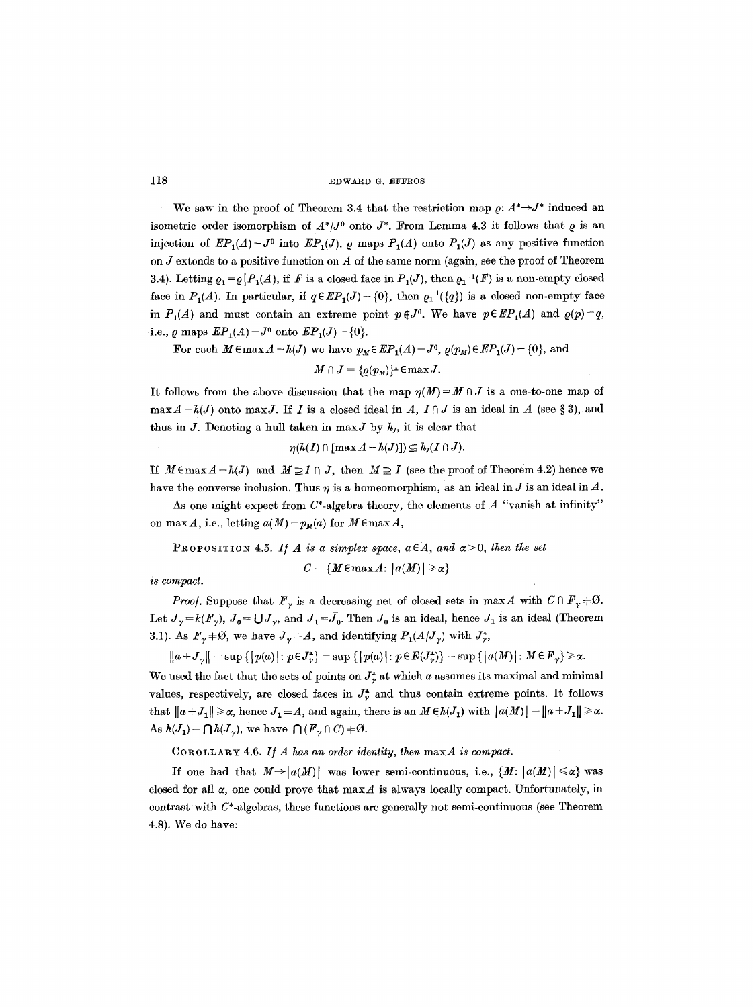We saw in the proof of Theorem 3.4 that the restriction map  $\rho: A^* \rightarrow J^*$  induced an isometric order isomorphism of  $A^*/J^0$  onto  $J^*$ . From Lemma 4.3 it follows that  $\rho$  is an injection of  $\mathbb{E}P_1(A) - J^0$  into  $\mathbb{E}P_1(J)$ .  $\varrho$  maps  $P_1(A)$  onto  $P_1(J)$  as any positive function on  $J$  extends to a positive function on  $A$  of the same norm (again, see the proof of Theorem 3.4). Letting  $\rho_1 = \rho |P_1(A)$ , if F is a closed face in  $P_1(J)$ , then  $\rho_1^{-1}(F)$  is a non-empty closed face in  $P_1(A)$ . In particular, if  $q \in EP_1(J) - \{0\}$ , then  $\varrho_1^{-1}(\{q\})$  is a closed non-empty face in  $P_1(A)$  and must contain an extreme point  $p \notin J^0$ . We have  $p \in EP_1(A)$  and  $\rho(p)=q$ , i.e.,  $\rho$  maps  $\mathbb{E}P_1(A) - J^0$  onto  $\mathbb{E}P_1(J) - \{0\}.$ 

For each  $M \in \max A - h(J)$  we have  $p_M \in EP_1(A) - J^0$ ,  $\varrho(p_M) \in EP_1(J) - \{0\}$ , and

 $M \cap J = \{ \varrho(p_M) \}$ -  $\in \max J$ .

It follows from the above discussion that the map  $\eta(M)=M\cap J$  is a one-to-one map of  $\max A-h(J)$  onto  $\max J$ . If I is a closed ideal in A,  $I\cap J$  is an ideal in A (see § 3), and thus in J. Denoting a hull taken in  $max J$  by  $h<sub>J</sub>$ , it is clear that

$$
\eta(h(I) \cap [\max A - h(J)]) \subseteq h_J(I \cap J).
$$

If  $M \in \max A - h(J)$  and  $M \supseteq I \cap J$ , then  $M \supseteq I$  (see the proof of Theorem 4.2) hence we have the converse inclusion. Thus  $\eta$  is a homeomorphism, as an ideal in J is an ideal in A.

As one might expect from  $C^*$ -algebra theory, the elements of  $A$  "vanish at infinity" on max A, i.e., letting  $a(M) = p_M(a)$  for  $M \in \max A$ ,

PROPOSITION 4.5. If A is a simplex space,  $a \in A$ , and  $\alpha > 0$ , then the set

$$
C = \{M \in \max A \colon |a(M)| \geq \alpha\}
$$

*is compact.* 

*Proof.* Suppose that  $F_{\gamma}$  is a decreasing net of closed sets in maxA with  $C \cap F_{\gamma} + \emptyset$ . Let  $J_{\gamma}=k(F_{\gamma}), J_0= \bigcup J_{\gamma}$ , and  $J_1=\bar{J}_0$ . Then  $J_0$  is an ideal, hence  $J_1$  is an ideal (Theorem 3.1). As  $\mathbf{F}_{\gamma} + \emptyset$ , we have  $J_{\gamma} + A$ , and identifying  $P_1(A/J_{\gamma})$  with  $J_{\gamma}^*$ ,

 $||a+J_{\gamma}|| = \sup \{|p(a)|: p \in J_{\gamma}^{\perp}\} = \sup \{|p(a)|: p \in E(J_{\gamma}^{\perp})\} = \sup \{|a(M)|: M \in F_{\gamma}\} \geq \alpha.$ 

We used the fact that the sets of points on  $J_{\nu}^{\ast}$  at which a assumes its maximal and minimal values, respectively, are closed faces in  $J_{\gamma}^{\dagger}$  and thus contain extreme points. It follows that  $||a+J_1|| \ge \alpha$ , hence  $J_1+A$ , and again, there is an  $M \in h(J_1)$  with  $||a(M)|| = ||a+J_1|| \ge \alpha$ . As  $h(J_1) = \bigcap h(J_{\gamma})$ , we have  $\bigcap (F_{\gamma} \cap C) + \emptyset$ .

COROLLARY 4.6. *I/A has an order identity, then* maxA *is compact.* 

If one had that  $M \rightarrow |a(M)|$  was lower semi-continuous, i.e.,  $\{M: |a(M)| \leq \alpha\}$  was closed for all  $\alpha$ , one could prove that max A is always locally compact. Unfortunately, in contrast with  $C^*$ -algebras, these functions are generally not semi-continuous (see Theorem 4.8). We do have: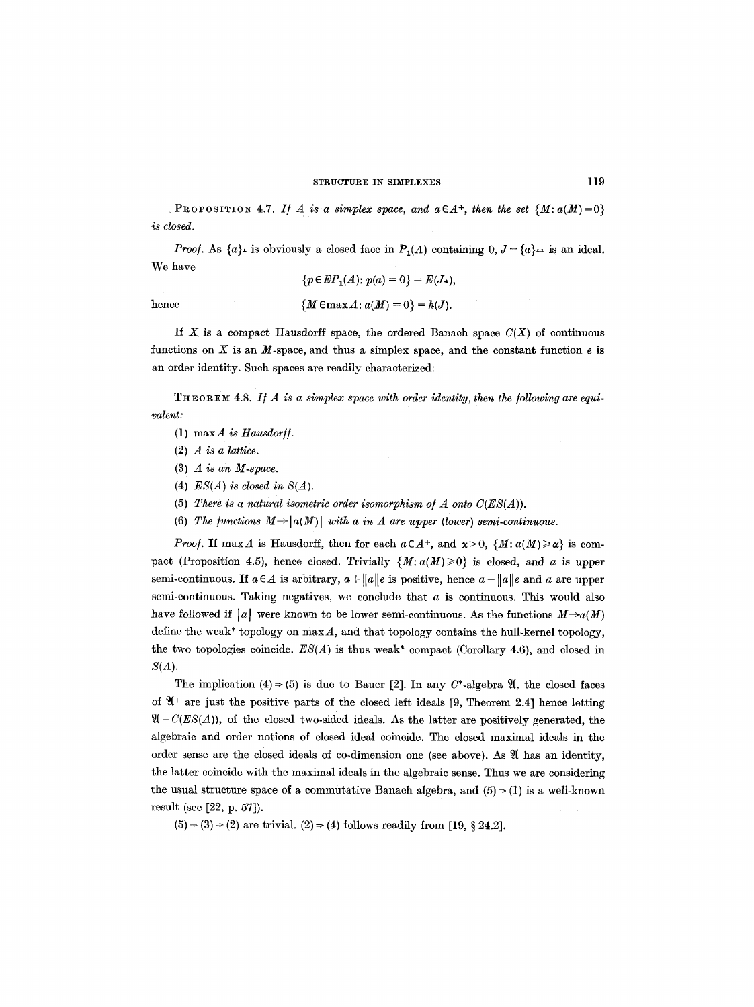PROPOSITION 4.7. *If A is a simplex space, and*  $a \in A^+$ *, then the set*  ${M: a(M)=0}$ *is closed.* 

*Proof.* As  $\{a\}$ - is obviously a closed face in  $P_1(A)$  containing  $0, J = \{a\}$ -- is an ideal. We have

$$
\{p \in EP_1(A) : p(a) = 0\} = E(J_{\lambda}),
$$
  
hence 
$$
\{M \in \max A : a(M) = 0\} = h(J).
$$

If X is a compact Hausdorff space, the ordered Banach space  $C(X)$  of continuous functions on  $X$  is an  $M$ -space, and thus a simplex space, and the constant function  $e$  is an order identity. Such spaces are readily characterized:

THEOREM 4.8. If A is a simplex space with order identity, then the following are equi*valent:* 

- $(1)$  max  $\vec{A}$  *is Hausdorff.*
- (2) *A is a lattice.*
- (3) *A is an M-space.*
- (4) *ES(A) is closed in S(A).*
- (5) There is a natural isometric order isomorphism of  $A$  onto  $C(ES(A))$ .
- (6) The functions  $M \rightarrow |a(M)|$  with a in A are upper (lower) semi-continuous.

*Proof.* If max A is Hausdorff, then for each  $a \in A^+$ , and  $a > 0$ ,  $\{M : a(M) \geq \alpha\}$  is compact (Proposition 4.5), hence closed. Trivially  $\{M: a(M) \geq 0\}$  is closed, and a is upper semi-continuous. If  $a \in A$  is arbitrary,  $a + ||a||e$  is positive, hence  $a + ||a||e$  and a are upper semi-continuous. Taking negatives, we conclude that  $a$  is continuous. This would also have followed if |a| were known to be lower semi-continuous. As the functions  $M\rightarrow a(M)$ define the weak\* topology on  $\max A$ , and that topology contains the hull-kernel topology, the two topologies coincide.  $ES(A)$  is thus weak<sup>\*</sup> compact (Corollary 4.6), and closed in  $S(A)$ .

The implication (4)  $\Rightarrow$  (5) is due to Bauer [2]. In any C\*-algebra Q, the closed faces of  $\mathfrak{A}^+$  are just the positive parts of the closed left ideals [9, Theorem 2.4] hence letting  $\mathfrak{A} = C(ES(A)),$  of the closed two-sided ideals. As the latter are positively generated, the algebraic and order notions of closed ideal coincide. The closed maximal ideals in the order sense are the closed ideals of co-dimension one (see above). As  $\mathfrak A$  has an identity, the latter coincide with the maximal ideals in the algebraic sense. Thus we are considering the usual structure space of a commutative Banach algebra, and  $(5) \rightarrow (1)$  is a well-known result (see [22, p. 57]).

 $(5) \Rightarrow (3) \Rightarrow (2)$  are trivial.  $(2) \Rightarrow (4)$  follows readily from [19, § 24.2].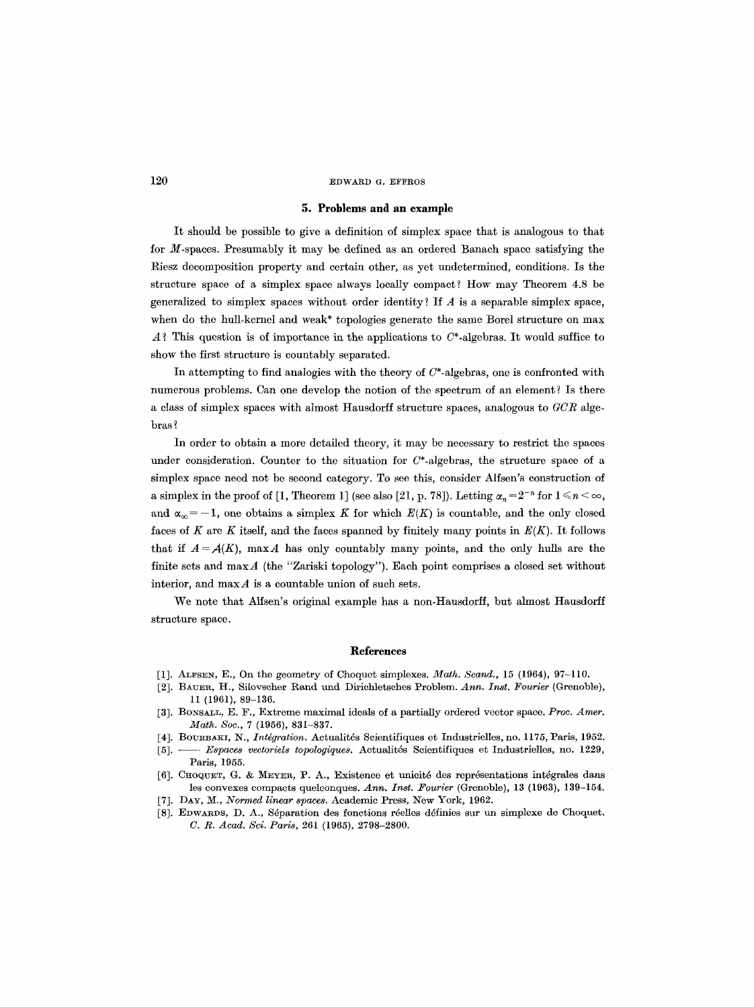## **5. Problems and an example**

It should be possible to give a definition of simplex space that is analogous to that for M-spaces. Presumably it may be defined as an ordered Banach space satisfying the Riesz decomposition property and certain other, as yet undetermined, conditions. Is the structure space of a simplex space always locally compact? How may Theorem 4.8 be generalized to simplex spaces without order identity? If  $A$  is a separable simplex space, when do the hull-kernel and weak\* topologies generate the same Borel structure on max  $A$ ? This question is of importance in the applications to  $C^*$ -algebras. It would suffice to show the first structure is countably separated.

In attempting to find analogies with the theory of  $C^*$ -algebras, one is confronted with numerous problems. Can one develop the notion of the spectrum of an element? Is there a class of simplex spaces with almost Hausdorff structure spaces, analogous to *GCR* algebras ?

In order to obtain a more detailed theory, it may be necessary to restrict the spaces under consideration. Counter to the situation for  $C^*$ -algebras, the structure space of a simplex space need not be second category. To see this, consider Alfsen's construction of a simplex in the proof of [1, Theorem 1] (see also [21, p. 78]). Letting  $\alpha_n = 2^{-n}$  for  $1 \le n < \infty$ , and  $\alpha_{\infty} = -1$ , one obtains a simplex K for which  $E(K)$  is countable, and the only closed faces of K are K itself, and the faces spanned by finitely many points in  $E(K)$ . It follows that if  $A = A(K)$ , max A has only countably many points, and the only hulls are the finite sets and  $\max A$  (the "Zariski topology"). Each point comprises a closed set without interior, and  $\max A$  is a countable union of such sets.

We note that Alfsen's original example has a non-Hausdorff, but almost Hausdorff structure space.

#### **References**

- [1]. AT.FSEN, E., On the geometry of Choquet simplexes. *Math. Scand.,* 15 (1964), 97-110.
- [2]. BAUER, It., SiIovscher Rand und Dirichletsches Problem. *Ann. Inst. Fourier* (Grenoble), 11 (1961), 89-136.
- [3]. BONSALL, E. F., Extreme maximal ideals of a partially ordered vector space. *Proc. Amer. Math. Soc.,* 7 (1956), 831-837.
- [4]. BOURBAKI, N., *Intégration*. Actualités Scientifiques et Industrielles, no. 1175, Paris, 1952.
- [5], -- *Espaces vectoriels topologiques.* Aetualit6s Scientifiques et Industrielles, no. 1229, Paris, 1955.
- [6]. CHOQUET, G. & MEYER, P. A., Existence et unicité des représentations intégrales dans les convexes compacts quelconques. *Ann. Inst. Fourier* (Grenoble), 13 (1963), 139-154.
- [7]. DAY, M., *Normed linear spaces.* Academic Press, New York, 1962.
- [8]. EDWARDS, D. A., Séparation des fonctions réelles définies sur un simplexe de Choquet. *C. R. Acad. Sci. Paris,* 261 (1965), 2798-2800.